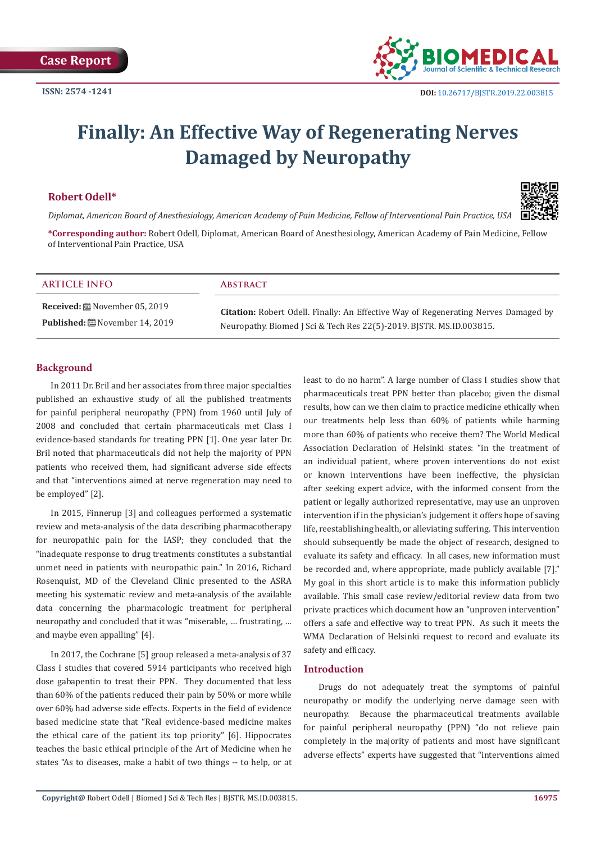

# **Finally: An Effective Way of Regenerating Nerves Damaged by Neuropathy**

# **Robert Odell\***



*Diplomat, American Board of Anesthesiology, American Academy of Pain Medicine, Fellow of Interventional Pain Practice, USA*

**\*Corresponding author:** Robert Odell, Diplomat, American Board of Anesthesiology, American Academy of Pain Medicine, Fellow of Interventional Pain Practice, USA

| <b>ARTICLE INFO</b>        | <b>ABSTRACT</b> |
|----------------------------|-----------------|
| Received: November 05 2019 |                 |

**Received:** November 05, 2019 **Published:** November 14, 2019

**Citation:** Robert Odell. Finally: An Effective Way of Regenerating Nerves Damaged by Neuropathy. Biomed J Sci & Tech Res 22(5)-2019. BJSTR. MS.ID.003815.

# **Background**

In 2011 Dr. Bril and her associates from three major specialties published an exhaustive study of all the published treatments for painful peripheral neuropathy (PPN) from 1960 until July of 2008 and concluded that certain pharmaceuticals met Class I evidence-based standards for treating PPN [1]. One year later Dr. Bril noted that pharmaceuticals did not help the majority of PPN patients who received them, had significant adverse side effects and that "interventions aimed at nerve regeneration may need to be employed" [2].

In 2015, Finnerup [3] and colleagues performed a systematic review and meta-analysis of the data describing pharmacotherapy for neuropathic pain for the IASP; they concluded that the "inadequate response to drug treatments constitutes a substantial unmet need in patients with neuropathic pain." In 2016, Richard Rosenquist, MD of the Cleveland Clinic presented to the ASRA meeting his systematic review and meta-analysis of the available data concerning the pharmacologic treatment for peripheral neuropathy and concluded that it was "miserable, … frustrating, … and maybe even appalling" [4].

In 2017, the Cochrane [5] group released a meta-analysis of 37 Class I studies that covered 5914 participants who received high dose gabapentin to treat their PPN. They documented that less than 60% of the patients reduced their pain by 50% or more while over 60% had adverse side effects. Experts in the field of evidence based medicine state that "Real evidence-based medicine makes the ethical care of the patient its top priority" [6]. Hippocrates teaches the basic ethical principle of the Art of Medicine when he states "As to diseases, make a habit of two things -- to help, or at

least to do no harm". A large number of Class I studies show that pharmaceuticals treat PPN better than placebo; given the dismal results, how can we then claim to practice medicine ethically when our treatments help less than 60% of patients while harming more than 60% of patients who receive them? The World Medical Association Declaration of Helsinki states: "in the treatment of an individual patient, where proven interventions do not exist or known interventions have been ineffective, the physician after seeking expert advice, with the informed consent from the patient or legally authorized representative, may use an unproven intervention if in the physician's judgement it offers hope of saving life, reestablishing health, or alleviating suffering. This intervention should subsequently be made the object of research, designed to evaluate its safety and efficacy. In all cases, new information must be recorded and, where appropriate, made publicly available [7]." My goal in this short article is to make this information publicly available. This small case review/editorial review data from two private practices which document how an "unproven intervention" offers a safe and effective way to treat PPN. As such it meets the WMA Declaration of Helsinki request to record and evaluate its safety and efficacy.

# **Introduction**

Drugs do not adequately treat the symptoms of painful neuropathy or modify the underlying nerve damage seen with neuropathy. Because the pharmaceutical treatments available for painful peripheral neuropathy (PPN) "do not relieve pain completely in the majority of patients and most have significant adverse effects" experts have suggested that "interventions aimed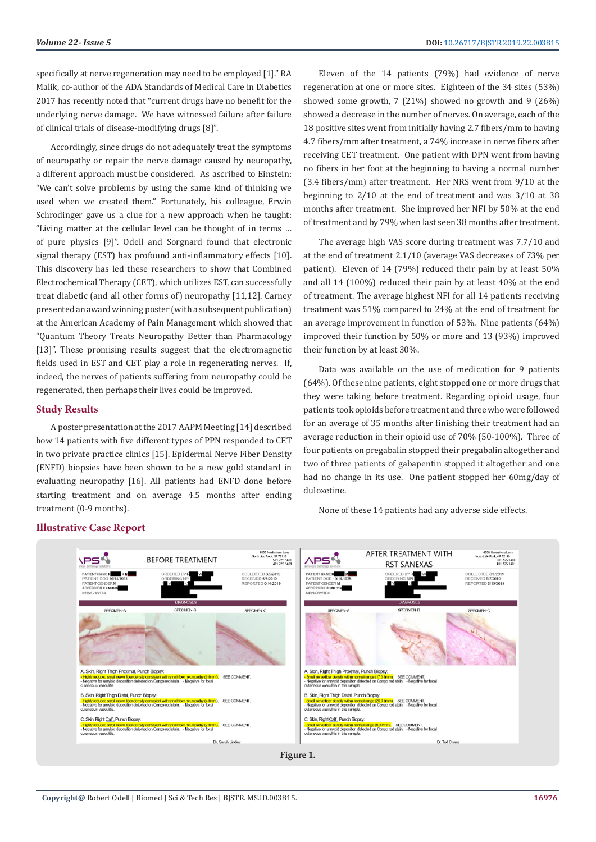specifically at nerve regeneration may need to be employed [1]." RA Malik, co-author of the ADA Standards of Medical Care in Diabetics 2017 has recently noted that "current drugs have no benefit for the underlying nerve damage. We have witnessed failure after failure of clinical trials of disease-modifying drugs [8]".

Accordingly, since drugs do not adequately treat the symptoms of neuropathy or repair the nerve damage caused by neuropathy, a different approach must be considered. As ascribed to Einstein: "We can't solve problems by using the same kind of thinking we used when we created them." Fortunately, his colleague, Erwin Schrodinger gave us a clue for a new approach when he taught: "Living matter at the cellular level can be thought of in terms … of pure physics [9]". Odell and Sorgnard found that electronic signal therapy (EST) has profound anti-inflammatory effects [10]. This discovery has led these researchers to show that Combined Electrochemical Therapy (CET), which utilizes EST, can successfully treat diabetic (and all other forms of) neuropathy [11,12]. Carney presented an award winning poster (with a subsequent publication) at the American Academy of Pain Management which showed that "Quantum Theory Treats Neuropathy Better than Pharmacology [13]". These promising results suggest that the electromagnetic fields used in EST and CET play a role in regenerating nerves. If, indeed, the nerves of patients suffering from neuropathy could be regenerated, then perhaps their lives could be improved.

## **Study Results**

A poster presentation at the 2017 AAPM Meeting [14] described how 14 patients with five different types of PPN responded to CET in two private practice clinics [15]. Epidermal Nerve Fiber Density (ENFD) biopsies have been shown to be a new gold standard in evaluating neuropathy [16]. All patients had ENFD done before starting treatment and on average 4.5 months after ending treatment (0-9 months).

Eleven of the 14 patients (79%) had evidence of nerve regeneration at one or more sites. Eighteen of the 34 sites (53%) showed some growth, 7 (21%) showed no growth and 9 (26%) showed a decrease in the number of nerves. On average, each of the 18 positive sites went from initially having 2.7 fibers/mm to having 4.7 fibers/mm after treatment, a 74% increase in nerve fibers after receiving CET treatment. One patient with DPN went from having no fibers in her foot at the beginning to having a normal number (3.4 fibers/mm) after treatment. Her NRS went from 9/10 at the beginning to 2/10 at the end of treatment and was 3/10 at 38 months after treatment. She improved her NFI by 50% at the end of treatment and by 79% when last seen 38 months after treatment.

The average high VAS score during treatment was 7.7/10 and at the end of treatment 2.1/10 (average VAS decreases of 73% per patient). Eleven of 14 (79%) reduced their pain by at least 50% and all 14 (100%) reduced their pain by at least 40% at the end of treatment. The average highest NFI for all 14 patients receiving treatment was 51% compared to 24% at the end of treatment for an average improvement in function of 53%. Nine patients (64%) improved their function by 50% or more and 13 (93%) improved their function by at least 30%.

Data was available on the use of medication for 9 patients (64%). Of these nine patients, eight stopped one or more drugs that they were taking before treatment. Regarding opioid usage, four patients took opioids before treatment and three who were followed for an average of 35 months after finishing their treatment had an average reduction in their opioid use of 70% (50-100%). Three of four patients on pregabalin stopped their pregabalin altogether and two of three patients of gabapentin stopped it altogether and one had no change in its use. One patient stopped her 60mg/day of duloxetine.

None of these 14 patients had any adverse side effects.



# **Illustrative Case Report**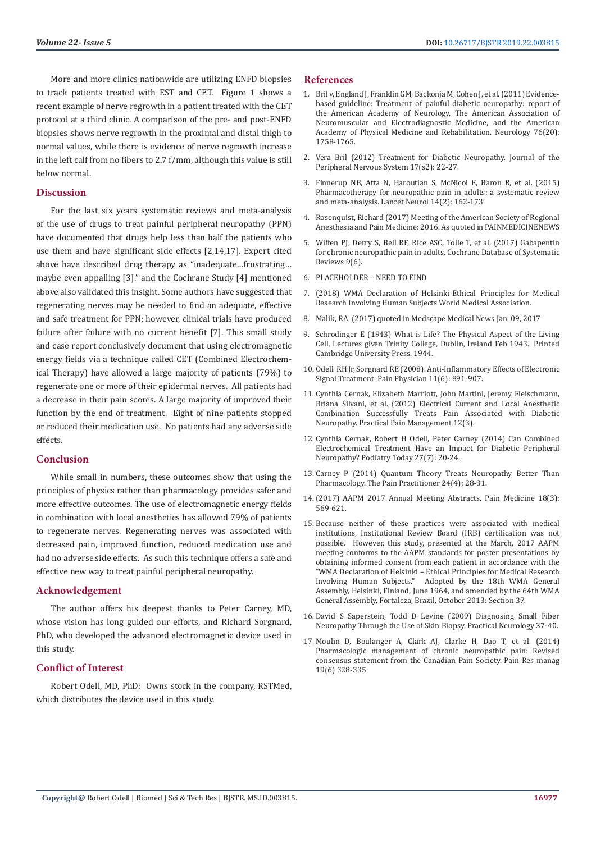More and more clinics nationwide are utilizing ENFD biopsies to track patients treated with EST and CET. Figure 1 shows a recent example of nerve regrowth in a patient treated with the CET protocol at a third clinic. A comparison of the pre- and post-ENFD biopsies shows nerve regrowth in the proximal and distal thigh to normal values, while there is evidence of nerve regrowth increase in the left calf from no fibers to 2.7 f/mm, although this value is still below normal.

#### **Discussion**

For the last six years systematic reviews and meta-analysis of the use of drugs to treat painful peripheral neuropathy (PPN) have documented that drugs help less than half the patients who use them and have significant side effects [2,14,17]. Expert cited above have described drug therapy as "inadequate…frustrating… maybe even appalling [3]." and the Cochrane Study [4] mentioned above also validated this insight. Some authors have suggested that regenerating nerves may be needed to find an adequate, effective and safe treatment for PPN; however, clinical trials have produced failure after failure with no current benefit [7]. This small study and case report conclusively document that using electromagnetic energy fields via a technique called CET (Combined Electrochemical Therapy) have allowed a large majority of patients (79%) to regenerate one or more of their epidermal nerves. All patients had a decrease in their pain scores. A large majority of improved their function by the end of treatment. Eight of nine patients stopped or reduced their medication use. No patients had any adverse side effects.

#### **Conclusion**

While small in numbers, these outcomes show that using the principles of physics rather than pharmacology provides safer and more effective outcomes. The use of electromagnetic energy fields in combination with local anesthetics has allowed 79% of patients to regenerate nerves. Regenerating nerves was associated with decreased pain, improved function, reduced medication use and had no adverse side effects. As such this technique offers a safe and effective new way to treat painful peripheral neuropathy.

#### **Acknowledgement**

The author offers his deepest thanks to Peter Carney, MD, whose vision has long guided our efforts, and Richard Sorgnard, PhD, who developed the advanced electromagnetic device used in this study.

#### **Conflict of Interest**

Robert Odell, MD, PhD: Owns stock in the company, RSTMed, which distributes the device used in this study.

#### **References**

- 1. [Bril v, England J, Franklin GM, Backonja M, Cohen J, et al. \(2011\) Evidence](https://www.ncbi.nlm.nih.gov/pubmed/21482920)[based guideline: Treatment of painful diabetic neuropathy: report of](https://www.ncbi.nlm.nih.gov/pubmed/21482920) [the American Academy of Neurology, The American Association of](https://www.ncbi.nlm.nih.gov/pubmed/21482920) [Neuromuscular and Electrodiagnostic Medicine, and the American](https://www.ncbi.nlm.nih.gov/pubmed/21482920) [Academy of Physical Medicine and Rehabilitation. Neurology 76\(20\):](https://www.ncbi.nlm.nih.gov/pubmed/21482920) [1758-1765.](https://www.ncbi.nlm.nih.gov/pubmed/21482920)
- 2. [Vera Bril \(2012\) Treatment for Diabetic Neuropathy. Journal of the](https://onlinelibrary.wiley.com/doi/full/10.1111/j.1529-8027.2012.00391.x) [Peripheral Nervous System 17\(s2\): 22-27.](https://onlinelibrary.wiley.com/doi/full/10.1111/j.1529-8027.2012.00391.x)
- 3. [Finnerup NB, Atta N, Haroutian S, McNicol E, Baron R, et al. \(2015\)](https://www.ncbi.nlm.nih.gov/pubmed/25575710) [Pharmacotherapy for neuropathic pain in adults: a systematic review](https://www.ncbi.nlm.nih.gov/pubmed/25575710) [and meta-analysis. Lancet Neurol 14\(2\): 162-173.](https://www.ncbi.nlm.nih.gov/pubmed/25575710)
- 4. Rosenquist, Richard (2017) Meeting of the American Society of Regional Anesthesia and Pain Medicine: 2016. As quoted in PAINMEDICINENEWS
- 5. [Wiffen PJ, Derry S, Bell RF, Rice ASC, Tolle T, et al. \(2017\) Gabapentin](https://www.ncbi.nlm.nih.gov/pubmed/28597471) [for chronic neuropathic pain in adults. Cochrane Database of Systematic](https://www.ncbi.nlm.nih.gov/pubmed/28597471) [Reviews 9\(6\).](https://www.ncbi.nlm.nih.gov/pubmed/28597471)
- 6. PLACEHOLDER NEED TO FIND
- 7. [\(2018\) WMA Declaration of Helsinki-Ethical Principles for Medical](https://www.wma.net/policies-post/wma-declaration-of-helsinki-ethical-principles-for-medical-research-involving-human-subjects/) [Research Involving Human Subjects World Medical Association.](https://www.wma.net/policies-post/wma-declaration-of-helsinki-ethical-principles-for-medical-research-involving-human-subjects/)
- 8. Malik, RA. (2017) quoted in Medscape Medical News Jan. 09, 2017
- 9. [Schrodinger E \(1943\) What is Life? The Physical Aspect of the Living](https://hagstromerlibrary.ki.se/books/16176) [Cell. Lectures given Trinity College, Dublin, Ireland Feb 1943. Printed](https://hagstromerlibrary.ki.se/books/16176) [Cambridge University Press. 1944.](https://hagstromerlibrary.ki.se/books/16176)
- 10. [Odell RH Jr, Sorgnard RE \(2008\). Anti-Inflammatory Effects of Electronic](https://www.ncbi.nlm.nih.gov/pubmed/19057635) [Signal Treatment. Pain Physician 11\(6\): 891-907.](https://www.ncbi.nlm.nih.gov/pubmed/19057635)
- 11. [Cynthia Cernak, Elizabeth Marriott, John Martini, Jeremy Fleischmann,](https://www.practicalpainmanagement.com/electric-current-local-anesthetic-combination-successfully-treats-pain-associated-diabetic) [Briana Silvani, et al. \(2012\) Electrical Current and Local Anesthetic](https://www.practicalpainmanagement.com/electric-current-local-anesthetic-combination-successfully-treats-pain-associated-diabetic) [Combination Successfully Treats Pain Associated with Diabetic](https://www.practicalpainmanagement.com/electric-current-local-anesthetic-combination-successfully-treats-pain-associated-diabetic) [Neuropathy. Practical Pain Management 12\(3\).](https://www.practicalpainmanagement.com/electric-current-local-anesthetic-combination-successfully-treats-pain-associated-diabetic)
- 12. [Cynthia Cernak, Robert H Odell, Peter Carney \(2014\) Can Combined](https://www.podiatrytoday.com/can-combined-electrochemical-treatment-have-impact-diabetic-peripheral-neuropathy) [Electrochemical Treatment Have an Impact for Diabetic Peripheral](https://www.podiatrytoday.com/can-combined-electrochemical-treatment-have-impact-diabetic-peripheral-neuropathy) [Neuropathy? Podiatry Today 27\(7\): 20-24.](https://www.podiatrytoday.com/can-combined-electrochemical-treatment-have-impact-diabetic-peripheral-neuropathy)
- 13. [Carney P \(2014\) Quantum Theory Treats Neuropathy Better Than](http://www.neurogenx.com/wp-content/uploads/2019/02/Journal-Abstracts-V2-Neurogenx.pdf) [Pharmacology. The Pain Practitioner 24\(4\): 28-31.](http://www.neurogenx.com/wp-content/uploads/2019/02/Journal-Abstracts-V2-Neurogenx.pdf)
- 14.[\(2017\) AAPM 2017 Annual Meeting Abstracts. Pain Medicine 18\(3\):](https://academic.oup.com/painmedicine/article/18/3/569/3070583) [569-621.](https://academic.oup.com/painmedicine/article/18/3/569/3070583)
- 15. Because neither of these practices were associated with medical institutions, Institutional Review Board (IRB) certification was not possible. However, this study, presented at the March, 2017 AAPM meeting conforms to the AAPM standards for poster presentations by obtaining informed consent from each patient in accordance with the "WMA Declaration of Helsinki – Ethical Principles for Medical Research Involving Human Subjects." Adopted by the 18th WMA General Assembly, Helsinki, Finland, June 1964, and amended by the 64th WMA General Assembly, Fortaleza, Brazil, October 2013: Section 37.
- 16. [David S Saperstein, Todd D Levine \(2009\) Diagnosing Small Fiber](https://practicalneurology.com/articles/2009-oct/PN1009_06-php) [Neuropathy Through the Use of Skin Biopsy. Practical Neurology 37-40.](https://practicalneurology.com/articles/2009-oct/PN1009_06-php)
- 17. [Moulin D, Boulanger A, Clark AJ, Clarke H, Dao T, et al. \(2014\)](https://www.ncbi.nlm.nih.gov/pubmed/25479151) [Pharmacologic management of chronic neuropathic pain: Revised](https://www.ncbi.nlm.nih.gov/pubmed/25479151) [consensus statement from the Canadian Pain Society. Pain Res manag](https://www.ncbi.nlm.nih.gov/pubmed/25479151) [19\(6\) 328-335.](https://www.ncbi.nlm.nih.gov/pubmed/25479151)